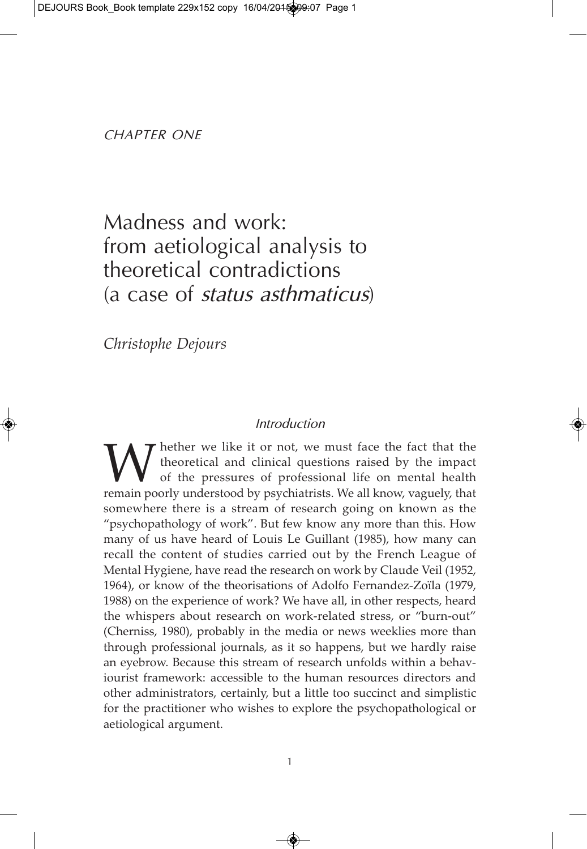*CHAPTER ONE*

# Madness and work: from aetiological analysis to theoretical contradictions (a case of *status asthmaticus*)

*Christophe Dejours*

# *Introduction*

Whether we like it or not, we must face the fact that the theoretical and clinical questions raised by the impact of the pressures of professional life on mental health remain poorly understood by psychiatrists. We all kno theoretical and clinical questions raised by the impact of the pressures of professional life on mental health somewhere there is a stream of research going on known as the "psychopathology of work". But few know any more than this. How many of us have heard of Louis Le Guillant (1985), how many can recall the content of studies carried out by the French League of Mental Hygiene, have read the research on work by Claude Veil (1952, 1964), or know of the theorisations of Adolfo Fernandez-Zoïla (1979, 1988) on the experience of work? We have all, in other respects, heard the whispers about research on work-related stress, or "burn-out" (Cherniss, 1980), probably in the media or news weeklies more than through professional journals, as it so happens, but we hardly raise an eyebrow. Because this stream of research unfolds within a behaviourist framework: accessible to the human resources directors and other administrators, certainly, but a little too succinct and simplistic for the practitioner who wishes to explore the psychopathological or aetiological argument.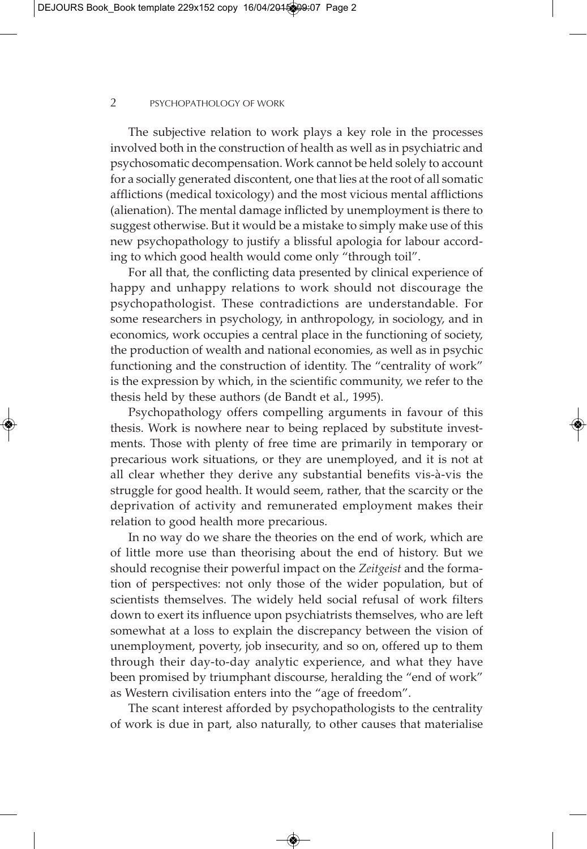The subjective relation to work plays a key role in the processes involved both in the construction of health as well as in psychiatric and psychosomatic decompensation. Work cannot be held solely to account for a socially generated discontent, one that lies at the root of all somatic afflictions (medical toxicology) and the most vicious mental afflictions (alienation). The mental damage inflicted by unemployment is there to suggest otherwise. But it would be a mistake to simply make use of this new psychopathology to justify a blissful apologia for labour according to which good health would come only "through toil".

For all that, the conflicting data presented by clinical experience of happy and unhappy relations to work should not discourage the psychopathologist. These contradictions are understandable. For some researchers in psychology, in anthropology, in sociology, and in economics, work occupies a central place in the functioning of society, the production of wealth and national economies, as well as in psychic functioning and the construction of identity. The "centrality of work" is the expression by which, in the scientific community, we refer to the thesis held by these authors (de Bandt et al., 1995).

Psychopathology offers compelling arguments in favour of this thesis. Work is nowhere near to being replaced by substitute investments. Those with plenty of free time are primarily in temporary or precarious work situations, or they are unemployed, and it is not at all clear whether they derive any substantial benefits vis-à-vis the struggle for good health. It would seem, rather, that the scarcity or the deprivation of activity and remunerated employment makes their relation to good health more precarious.

In no way do we share the theories on the end of work, which are of little more use than theorising about the end of history. But we should recognise their powerful impact on the *Zeitgeist* and the formation of perspectives: not only those of the wider population, but of scientists themselves. The widely held social refusal of work filters down to exert its influence upon psychiatrists themselves, who are left somewhat at a loss to explain the discrepancy between the vision of unemployment, poverty, job insecurity, and so on, offered up to them through their day-to-day analytic experience, and what they have been promised by triumphant discourse, heralding the "end of work" as Western civilisation enters into the "age of freedom".

The scant interest afforded by psychopathologists to the centrality of work is due in part, also naturally, to other causes that materialise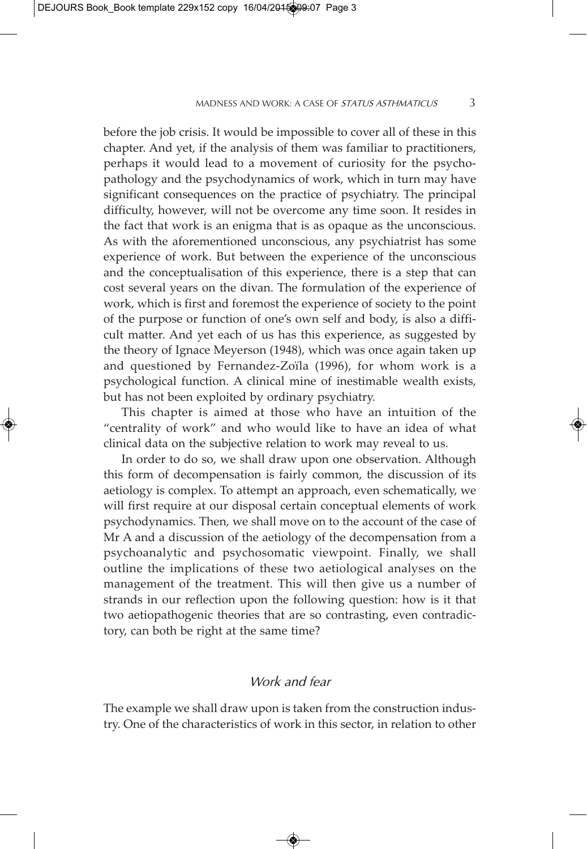before the job crisis. It would be impossible to cover all of these in this chapter. And yet, if the analysis of them was familiar to practitioners, perhaps it would lead to a movement of curiosity for the psychopathology and the psychodynamics of work, which in turn may have significant consequences on the practice of psychiatry. The principal difficulty, however, will not be overcome any time soon. It resides in the fact that work is an enigma that is as opaque as the unconscious. As with the aforementioned unconscious, any psychiatrist has some experience of work. But between the experience of the unconscious and the conceptualisation of this experience, there is a step that can cost several years on the divan. The formulation of the experience of work, which is first and foremost the experience of society to the point of the purpose or function of one's own self and body, is also a difficult matter. And yet each of us has this experience, as suggested by the theory of Ignace Meyerson (1948), which was once again taken up and questioned by Fernandez-Zoïla (1996), for whom work is a psychological function. A clinical mine of inestimable wealth exists, but has not been exploited by ordinary psychiatry.

This chapter is aimed at those who have an intuition of the "centrality of work" and who would like to have an idea of what clinical data on the subjective relation to work may reveal to us.

In order to do so, we shall draw upon one observation. Although this form of decompensation is fairly common, the discussion of its aetiology is complex. To attempt an approach, even schematically, we will first require at our disposal certain conceptual elements of work psychodynamics. Then, we shall move on to the account of the case of Mr A and a discussion of the aetiology of the decompensation from a psychoanalytic and psychosomatic viewpoint. Finally, we shall outline the implications of these two aetiological analyses on the management of the treatment. This will then give us a number of strands in our reflection upon the following question: how is it that two aetiopathogenic theories that are so contrasting, even contradictory, can both be right at the same time?

# *Work and fear*

The example we shall draw upon is taken from the construction industry. One of the characteristics of work in this sector, in relation to other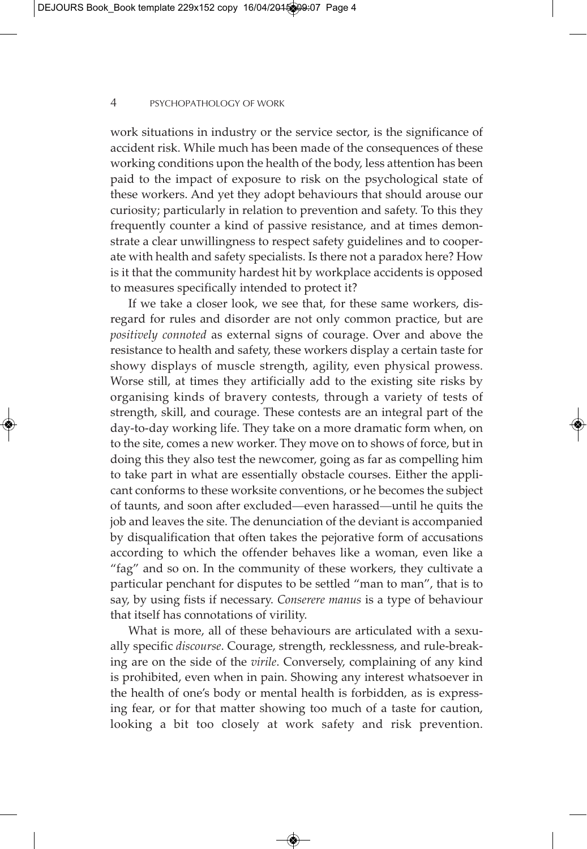work situations in industry or the service sector, is the significance of accident risk. While much has been made of the consequences of these working conditions upon the health of the body, less attention has been paid to the impact of exposure to risk on the psychological state of these workers. And yet they adopt behaviours that should arouse our curiosity; particularly in relation to prevention and safety. To this they frequently counter a kind of passive resistance, and at times demonstrate a clear unwillingness to respect safety guidelines and to cooperate with health and safety specialists. Is there not a paradox here? How is it that the community hardest hit by workplace accidents is opposed to measures specifically intended to protect it?

If we take a closer look, we see that, for these same workers, disregard for rules and disorder are not only common practice, but are *positively connoted* as external signs of courage. Over and above the resistance to health and safety, these workers display a certain taste for showy displays of muscle strength, agility, even physical prowess. Worse still, at times they artificially add to the existing site risks by organising kinds of bravery contests, through a variety of tests of strength, skill, and courage. These contests are an integral part of the day-to-day working life. They take on a more dramatic form when, on to the site, comes a new worker. They move on to shows of force, but in doing this they also test the newcomer, going as far as compelling him to take part in what are essentially obstacle courses. Either the applicant conforms to these worksite conventions, or he becomes the subject of taunts, and soon after excluded—even harassed—until he quits the job and leaves the site. The denunciation of the deviant is accompanied by disqualification that often takes the pejorative form of accusations according to which the offender behaves like a woman, even like a "fag" and so on. In the community of these workers, they cultivate a particular penchant for disputes to be settled "man to man", that is to say, by using fists if necessary. *Conserere manus* is a type of behaviour that itself has connotations of virility.

What is more, all of these behaviours are articulated with a sexually specific *discourse*. Courage, strength, recklessness, and rule-breaking are on the side of the *virile*. Conversely, complaining of any kind is prohibited, even when in pain. Showing any interest whatsoever in the health of one's body or mental health is forbidden, as is expressing fear, or for that matter showing too much of a taste for caution, looking a bit too closely at work safety and risk prevention.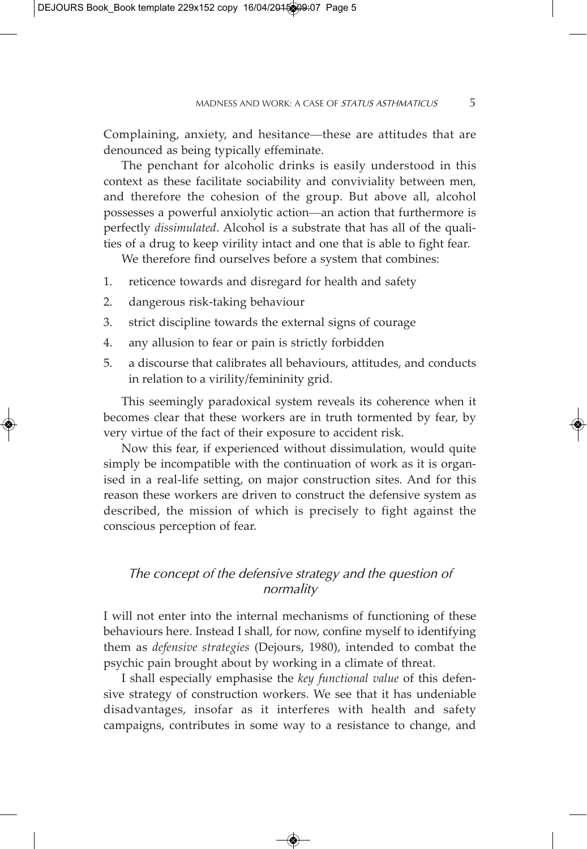Complaining, anxiety, and hesitance—these are attitudes that are denounced as being typically effeminate.

The penchant for alcoholic drinks is easily understood in this context as these facilitate sociability and conviviality between men, and therefore the cohesion of the group. But above all, alcohol possesses a powerful anxiolytic action—an action that furthermore is perfectly *dissimulated*. Alcohol is a substrate that has all of the qualities of a drug to keep virility intact and one that is able to fight fear.

We therefore find ourselves before a system that combines:

- 1. reticence towards and disregard for health and safety
- 2. dangerous risk-taking behaviour
- 3. strict discipline towards the external signs of courage
- 4. any allusion to fear or pain is strictly forbidden
- 5. a discourse that calibrates all behaviours, attitudes, and conducts in relation to a virility/femininity grid.

This seemingly paradoxical system reveals its coherence when it becomes clear that these workers are in truth tormented by fear, by very virtue of the fact of their exposure to accident risk.

Now this fear, if experienced without dissimulation, would quite simply be incompatible with the continuation of work as it is organised in a real-life setting, on major construction sites. And for this reason these workers are driven to construct the defensive system as described, the mission of which is precisely to fight against the conscious perception of fear.

# *The concept of the defensive strategy and the question of normality*

I will not enter into the internal mechanisms of functioning of these behaviours here. Instead I shall, for now, confine myself to identifying them as *defensive strategies* (Dejours, 1980), intended to combat the psychic pain brought about by working in a climate of threat.

I shall especially emphasise the *key functional value* of this defensive strategy of construction workers. We see that it has undeniable disadvantages, insofar as it interferes with health and safety campaigns, contributes in some way to a resistance to change, and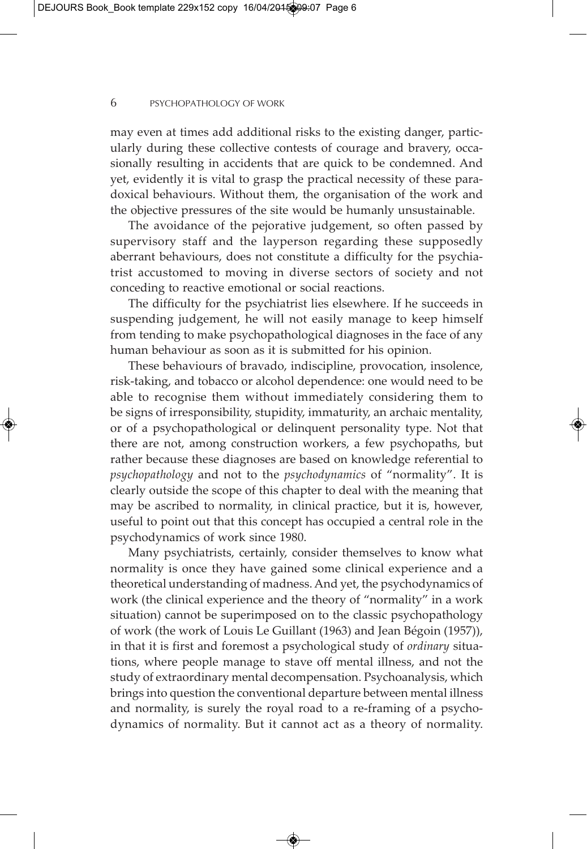may even at times add additional risks to the existing danger, particularly during these collective contests of courage and bravery, occasionally resulting in accidents that are quick to be condemned. And yet, evidently it is vital to grasp the practical necessity of these paradoxical behaviours. Without them, the organisation of the work and the objective pressures of the site would be humanly unsustainable.

The avoidance of the pejorative judgement, so often passed by supervisory staff and the layperson regarding these supposedly aberrant behaviours, does not constitute a difficulty for the psychiatrist accustomed to moving in diverse sectors of society and not conceding to reactive emotional or social reactions.

The difficulty for the psychiatrist lies elsewhere. If he succeeds in suspending judgement, he will not easily manage to keep himself from tending to make psychopathological diagnoses in the face of any human behaviour as soon as it is submitted for his opinion.

These behaviours of bravado, indiscipline, provocation, insolence, risk-taking, and tobacco or alcohol dependence: one would need to be able to recognise them without immediately considering them to be signs of irresponsibility, stupidity, immaturity, an archaic mentality, or of a psychopathological or delinquent personality type. Not that there are not, among construction workers, a few psychopaths, but rather because these diagnoses are based on knowledge referential to *psychopathology* and not to the *psychodynamics* of "normality". It is clearly outside the scope of this chapter to deal with the meaning that may be ascribed to normality, in clinical practice, but it is, however, useful to point out that this concept has occupied a central role in the psychodynamics of work since 1980.

Many psychiatrists, certainly, consider themselves to know what normality is once they have gained some clinical experience and a theoretical understanding of madness. And yet, the psychodynamics of work (the clinical experience and the theory of "normality" in a work situation) cannot be superimposed on to the classic psychopathology of work (the work of Louis Le Guillant (1963) and Jean Bégoin (1957)), in that it is first and foremost a psychological study of *ordinary* situations, where people manage to stave off mental illness, and not the study of extraordinary mental decompensation. Psychoanalysis, which brings into question the conventional departure between mental illness and normality, is surely the royal road to a re-framing of a psychodynamics of normality. But it cannot act as a theory of normality.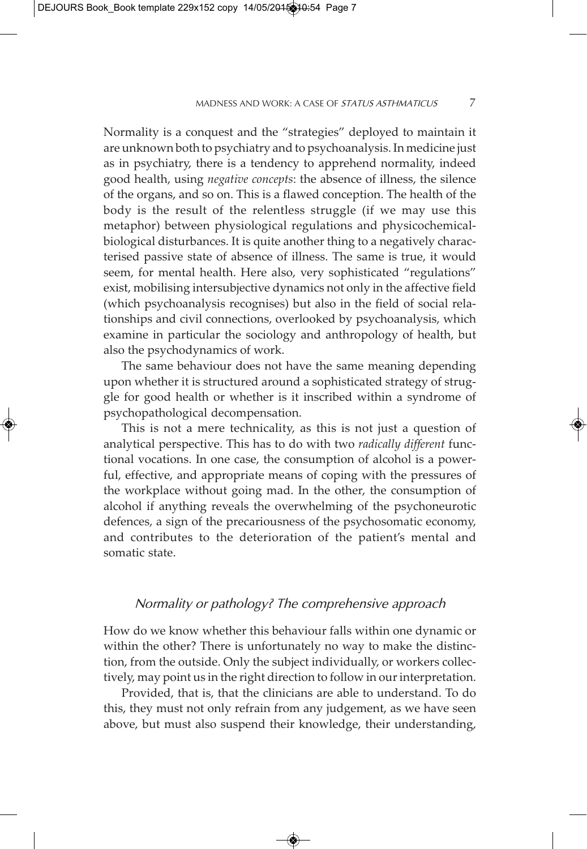Normality is a conquest and the "strategies" deployed to maintain it are unknown both to psychiatry and to psychoanalysis. In medicine just as in psychiatry, there is a tendency to apprehend normality, indeed good health, using *negative concepts*: the absence of illness, the silence of the organs, and so on. This is a flawed conception. The health of the body is the result of the relentless struggle (if we may use this metaphor) between physiological regulations and physicochemicalbiological disturbances. It is quite another thing to a negatively characterised passive state of absence of illness. The same is true, it would seem, for mental health. Here also, very sophisticated "regulations" exist, mobilising intersubjective dynamics not only in the affective field (which psychoanalysis recognises) but also in the field of social relationships and civil connections, overlooked by psychoanalysis, which examine in particular the sociology and anthropology of health, but also the psychodynamics of work.

The same behaviour does not have the same meaning depending upon whether it is structured around a sophisticated strategy of struggle for good health or whether is it inscribed within a syndrome of psychopathological decompensation.

This is not a mere technicality, as this is not just a question of analytical perspective. This has to do with two *radically different* functional vocations. In one case, the consumption of alcohol is a powerful, effective, and appropriate means of coping with the pressures of the workplace without going mad. In the other, the consumption of alcohol if anything reveals the overwhelming of the psychoneurotic defences, a sign of the precariousness of the psychosomatic economy, and contributes to the deterioration of the patient's mental and somatic state.

# *Normality or pathology? The comprehensive approach*

How do we know whether this behaviour falls within one dynamic or within the other? There is unfortunately no way to make the distinction, from the outside. Only the subject individually, or workers collectively, may point us in the right direction to follow in our interpretation.

Provided, that is, that the clinicians are able to understand. To do this, they must not only refrain from any judgement, as we have seen above, but must also suspend their knowledge, their understanding,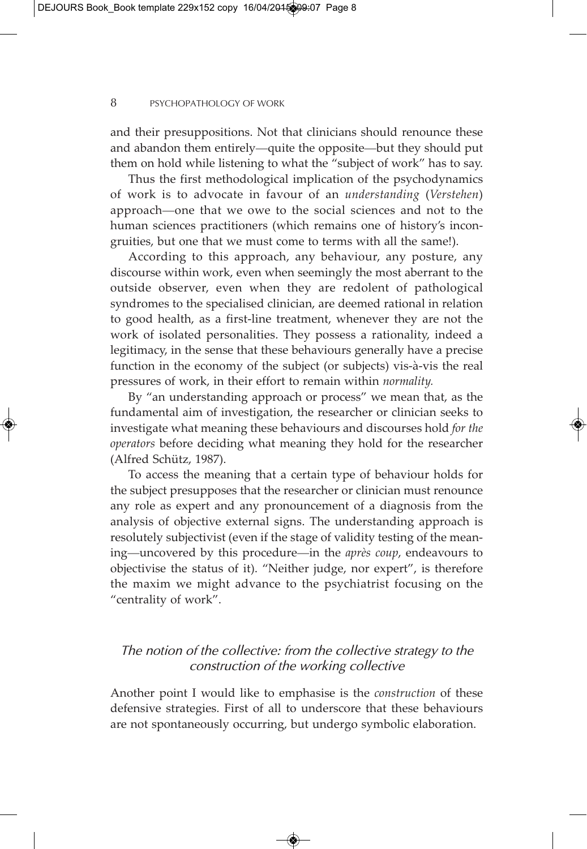and their presuppositions. Not that clinicians should renounce these and abandon them entirely—quite the opposite—but they should put them on hold while listening to what the "subject of work" has to say.

Thus the first methodological implication of the psychodynamics of work is to advocate in favour of an *understanding* (*Verstehen*) approach—one that we owe to the social sciences and not to the human sciences practitioners (which remains one of history's incongruities, but one that we must come to terms with all the same!).

According to this approach, any behaviour, any posture, any discourse within work, even when seemingly the most aberrant to the outside observer, even when they are redolent of pathological syndromes to the specialised clinician, are deemed rational in relation to good health, as a first-line treatment, whenever they are not the work of isolated personalities. They possess a rationality, indeed a legitimacy, in the sense that these behaviours generally have a precise function in the economy of the subject (or subjects) vis-à-vis the real pressures of work, in their effort to remain within *normality.*

By "an understanding approach or process" we mean that, as the fundamental aim of investigation, the researcher or clinician seeks to investigate what meaning these behaviours and discourses hold *for the operators* before deciding what meaning they hold for the researcher (Alfred Schütz, 1987).

To access the meaning that a certain type of behaviour holds for the subject presupposes that the researcher or clinician must renounce any role as expert and any pronouncement of a diagnosis from the analysis of objective external signs. The understanding approach is resolutely subjectivist (even if the stage of validity testing of the meaning—uncovered by this procedure—in the *après coup*, endeavours to objectivise the status of it). "Neither judge, nor expert", is therefore the maxim we might advance to the psychiatrist focusing on the "centrality of work".

# *The notion of the collective: from the collective strategy to the construction of the working collective*

Another point I would like to emphasise is the *construction* of these defensive strategies. First of all to underscore that these behaviours are not spontaneously occurring, but undergo symbolic elaboration.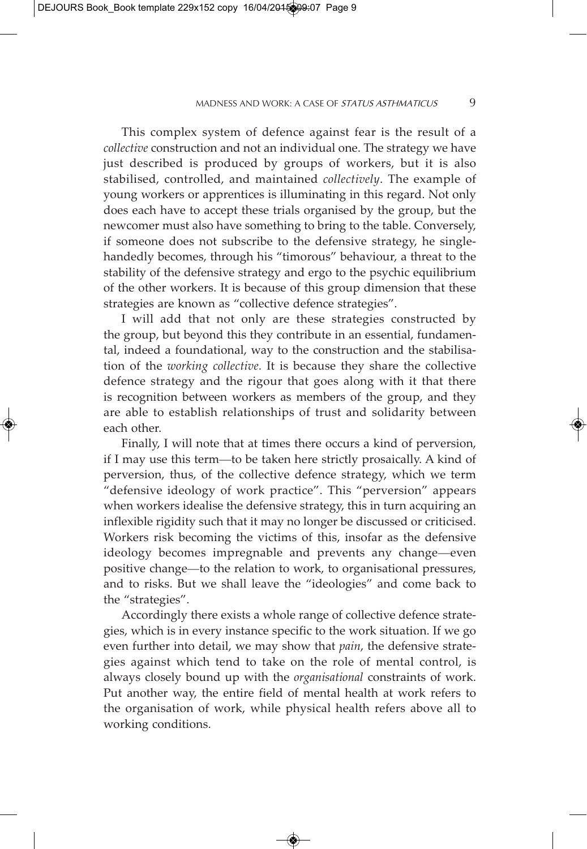This complex system of defence against fear is the result of a *collective* construction and not an individual one. The strategy we have just described is produced by groups of workers, but it is also stabilised, controlled, and maintained *collectively*. The example of young workers or apprentices is illuminating in this regard. Not only does each have to accept these trials organised by the group, but the newcomer must also have something to bring to the table. Conversely, if someone does not subscribe to the defensive strategy, he singlehandedly becomes, through his "timorous" behaviour, a threat to the stability of the defensive strategy and ergo to the psychic equilibrium of the other workers. It is because of this group dimension that these strategies are known as "collective defence strategies".

I will add that not only are these strategies constructed by the group, but beyond this they contribute in an essential, fundamental, indeed a foundational, way to the construction and the stabilisation of the *working collective*. It is because they share the collective defence strategy and the rigour that goes along with it that there is recognition between workers as members of the group, and they are able to establish relationships of trust and solidarity between each other.

Finally, I will note that at times there occurs a kind of perversion, if I may use this term—to be taken here strictly prosaically. A kind of perversion, thus, of the collective defence strategy, which we term "defensive ideology of work practice". This "perversion" appears when workers idealise the defensive strategy, this in turn acquiring an inflexible rigidity such that it may no longer be discussed or criticised. Workers risk becoming the victims of this, insofar as the defensive ideology becomes impregnable and prevents any change—even positive change—to the relation to work, to organisational pressures, and to risks. But we shall leave the "ideologies" and come back to the "strategies".

Accordingly there exists a whole range of collective defence strategies, which is in every instance specific to the work situation. If we go even further into detail, we may show that *pain*, the defensive strategies against which tend to take on the role of mental control, is always closely bound up with the *organisational* constraints of work. Put another way, the entire field of mental health at work refers to the organisation of work, while physical health refers above all to working conditions.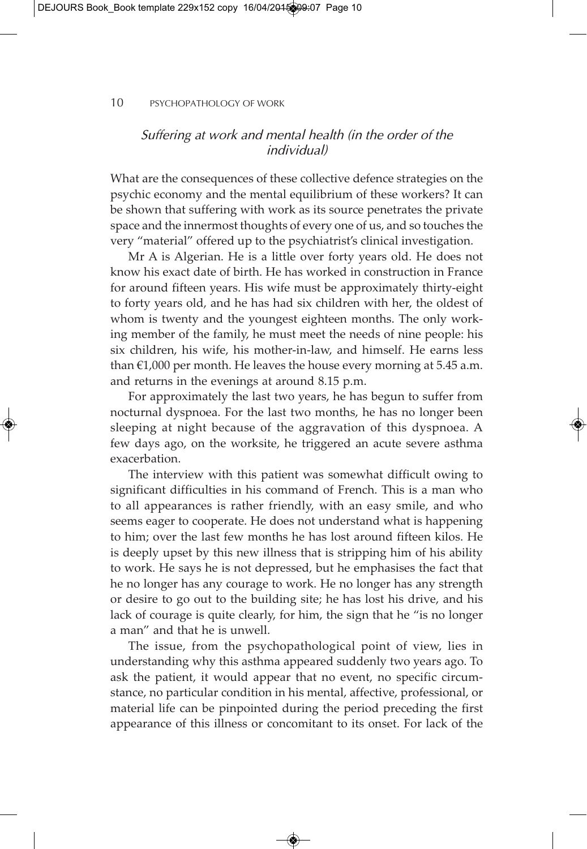# *Suffering at work and mental health (in the order of the individual)*

What are the consequences of these collective defence strategies on the psychic economy and the mental equilibrium of these workers? It can be shown that suffering with work as its source penetrates the private space and the innermost thoughts of every one of us, and so touches the very "material" offered up to the psychiatrist's clinical investigation.

Mr A is Algerian. He is a little over forty years old. He does not know his exact date of birth. He has worked in construction in France for around fifteen years. His wife must be approximately thirty-eight to forty years old, and he has had six children with her, the oldest of whom is twenty and the youngest eighteen months. The only working member of the family, he must meet the needs of nine people: his six children, his wife, his mother-in-law, and himself. He earns less than €1,000 per month. He leaves the house every morning at 5.45 a.m. and returns in the evenings at around 8.15 p.m.

For approximately the last two years, he has begun to suffer from nocturnal dyspnoea. For the last two months, he has no longer been sleeping at night because of the aggravation of this dyspnoea. A few days ago, on the worksite, he triggered an acute severe asthma exacerbation.

The interview with this patient was somewhat difficult owing to significant difficulties in his command of French. This is a man who to all appearances is rather friendly, with an easy smile, and who seems eager to cooperate. He does not understand what is happening to him; over the last few months he has lost around fifteen kilos. He is deeply upset by this new illness that is stripping him of his ability to work. He says he is not depressed, but he emphasises the fact that he no longer has any courage to work. He no longer has any strength or desire to go out to the building site; he has lost his drive, and his lack of courage is quite clearly, for him, the sign that he "is no longer a man" and that he is unwell.

The issue, from the psychopathological point of view, lies in understanding why this asthma appeared suddenly two years ago. To ask the patient, it would appear that no event, no specific circumstance, no particular condition in his mental, affective, professional, or material life can be pinpointed during the period preceding the first appearance of this illness or concomitant to its onset. For lack of the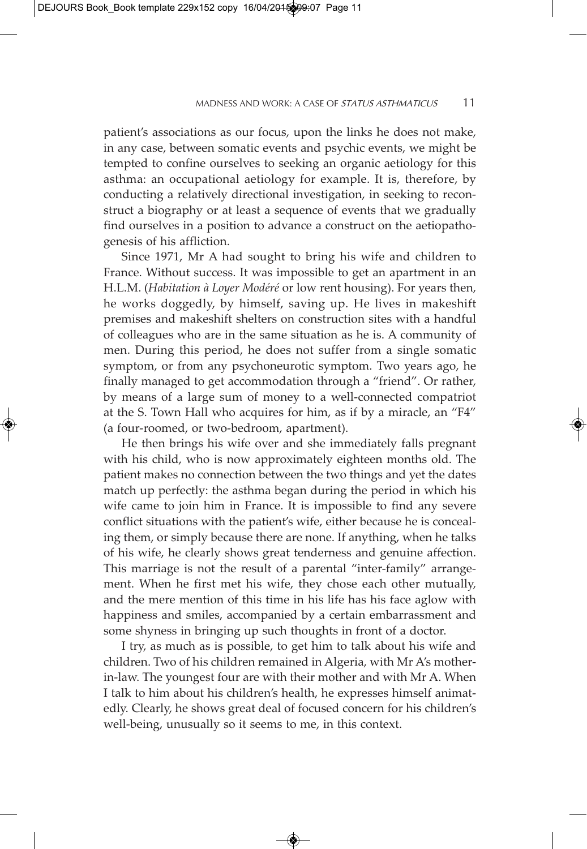patient's associations as our focus, upon the links he does not make, in any case, between somatic events and psychic events, we might be tempted to confine ourselves to seeking an organic aetiology for this asthma: an occupational aetiology for example. It is, therefore, by conducting a relatively directional investigation, in seeking to reconstruct a biography or at least a sequence of events that we gradually find ourselves in a position to advance a construct on the aetiopathogenesis of his affliction.

Since 1971, Mr A had sought to bring his wife and children to France. Without success. It was impossible to get an apartment in an H.L.M. (*Habitation à Loyer Modéré* or low rent housing). For years then, he works doggedly, by himself, saving up. He lives in makeshift premises and makeshift shelters on construction sites with a handful of colleagues who are in the same situation as he is. A community of men. During this period, he does not suffer from a single somatic symptom, or from any psychoneurotic symptom. Two years ago, he finally managed to get accommodation through a "friend". Or rather, by means of a large sum of money to a well-connected compatriot at the S. Town Hall who acquires for him, as if by a miracle, an "F4" (a four-roomed, or two-bedroom, apartment).

He then brings his wife over and she immediately falls pregnant with his child, who is now approximately eighteen months old. The patient makes no connection between the two things and yet the dates match up perfectly: the asthma began during the period in which his wife came to join him in France. It is impossible to find any severe conflict situations with the patient's wife, either because he is concealing them, or simply because there are none. If anything, when he talks of his wife, he clearly shows great tenderness and genuine affection. This marriage is not the result of a parental "inter-family" arrangement. When he first met his wife, they chose each other mutually, and the mere mention of this time in his life has his face aglow with happiness and smiles, accompanied by a certain embarrassment and some shyness in bringing up such thoughts in front of a doctor.

I try, as much as is possible, to get him to talk about his wife and children. Two of his children remained in Algeria, with Mr A's motherin-law. The youngest four are with their mother and with Mr A. When I talk to him about his children's health, he expresses himself animatedly. Clearly, he shows great deal of focused concern for his children's well-being, unusually so it seems to me, in this context.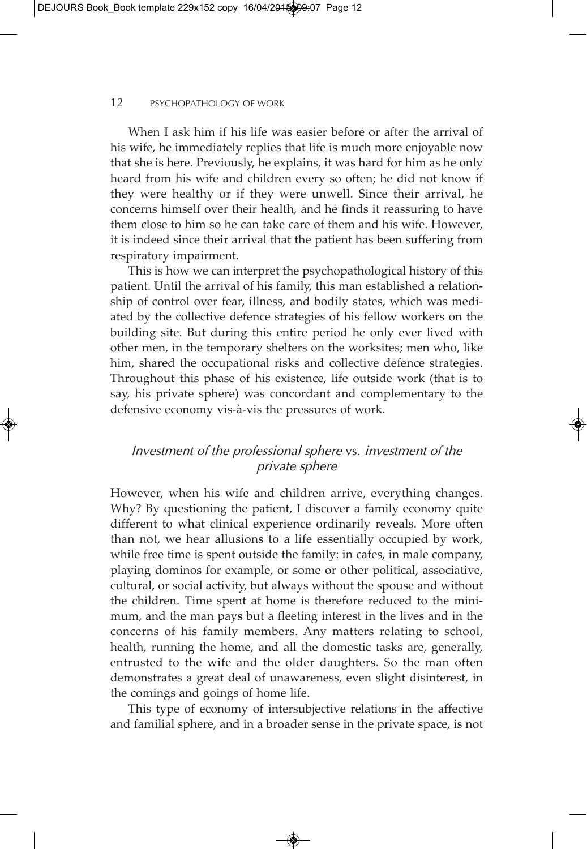When I ask him if his life was easier before or after the arrival of his wife, he immediately replies that life is much more enjoyable now that she is here. Previously, he explains, it was hard for him as he only heard from his wife and children every so often; he did not know if they were healthy or if they were unwell. Since their arrival, he concerns himself over their health, and he finds it reassuring to have them close to him so he can take care of them and his wife. However, it is indeed since their arrival that the patient has been suffering from respiratory impairment.

This is how we can interpret the psychopathological history of this patient. Until the arrival of his family, this man established a relationship of control over fear, illness, and bodily states, which was mediated by the collective defence strategies of his fellow workers on the building site. But during this entire period he only ever lived with other men, in the temporary shelters on the worksites; men who, like him, shared the occupational risks and collective defence strategies. Throughout this phase of his existence, life outside work (that is to say, his private sphere) was concordant and complementary to the defensive economy vis-à-vis the pressures of work.

# *Investment of the professional sphere* vs. *investment of the private sphere*

However, when his wife and children arrive, everything changes. Why? By questioning the patient, I discover a family economy quite different to what clinical experience ordinarily reveals. More often than not, we hear allusions to a life essentially occupied by work, while free time is spent outside the family: in cafes, in male company, playing dominos for example, or some or other political, associative, cultural, or social activity, but always without the spouse and without the children. Time spent at home is therefore reduced to the minimum, and the man pays but a fleeting interest in the lives and in the concerns of his family members. Any matters relating to school, health, running the home, and all the domestic tasks are, generally, entrusted to the wife and the older daughters. So the man often demonstrates a great deal of unawareness, even slight disinterest, in the comings and goings of home life.

This type of economy of intersubjective relations in the affective and familial sphere, and in a broader sense in the private space, is not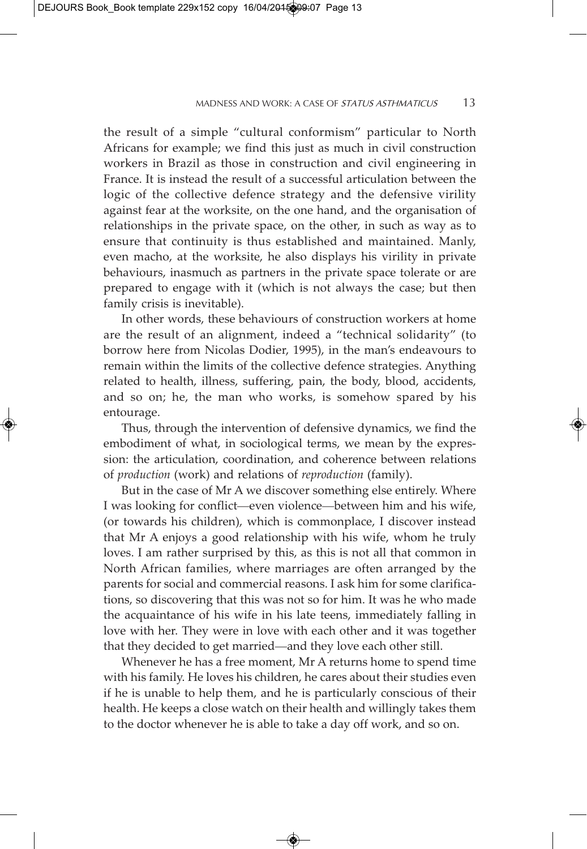the result of a simple "cultural conformism" particular to North Africans for example; we find this just as much in civil construction workers in Brazil as those in construction and civil engineering in France. It is instead the result of a successful articulation between the logic of the collective defence strategy and the defensive virility against fear at the worksite, on the one hand, and the organisation of relationships in the private space, on the other, in such as way as to ensure that continuity is thus established and maintained. Manly, even macho, at the worksite, he also displays his virility in private behaviours, inasmuch as partners in the private space tolerate or are prepared to engage with it (which is not always the case; but then family crisis is inevitable).

In other words, these behaviours of construction workers at home are the result of an alignment, indeed a "technical solidarity" (to borrow here from Nicolas Dodier, 1995), in the man's endeavours to remain within the limits of the collective defence strategies. Anything related to health, illness, suffering, pain, the body, blood, accidents, and so on; he, the man who works, is somehow spared by his entourage.

Thus, through the intervention of defensive dynamics, we find the embodiment of what, in sociological terms, we mean by the expression: the articulation, coordination, and coherence between relations of *production* (work) and relations of *reproduction* (family).

But in the case of Mr A we discover something else entirely. Where I was looking for conflict—even violence—between him and his wife, (or towards his children), which is commonplace, I discover instead that Mr A enjoys a good relationship with his wife, whom he truly loves. I am rather surprised by this, as this is not all that common in North African families, where marriages are often arranged by the parents for social and commercial reasons. I ask him for some clarifications, so discovering that this was not so for him. It was he who made the acquaintance of his wife in his late teens, immediately falling in love with her. They were in love with each other and it was together that they decided to get married—and they love each other still.

Whenever he has a free moment, Mr A returns home to spend time with his family. He loves his children, he cares about their studies even if he is unable to help them, and he is particularly conscious of their health. He keeps a close watch on their health and willingly takes them to the doctor whenever he is able to take a day off work, and so on.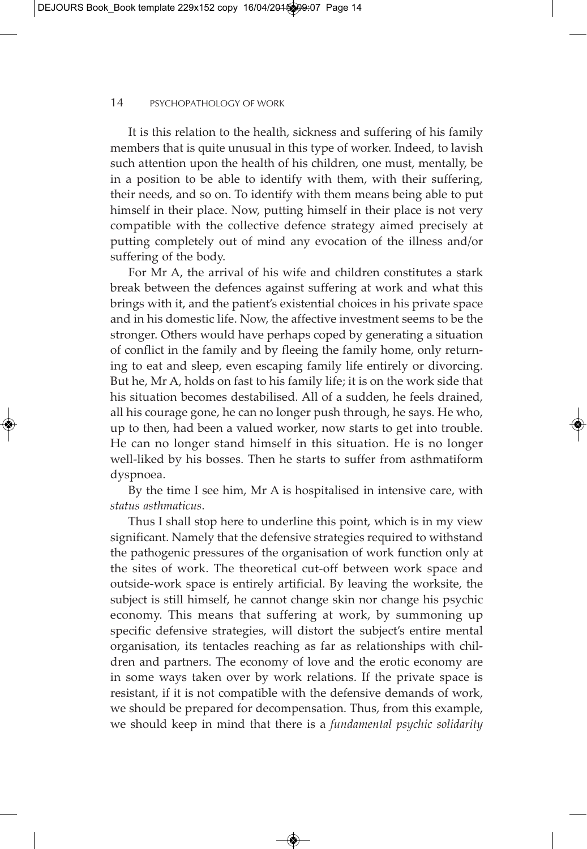It is this relation to the health, sickness and suffering of his family members that is quite unusual in this type of worker. Indeed, to lavish such attention upon the health of his children, one must, mentally, be in a position to be able to identify with them, with their suffering, their needs, and so on. To identify with them means being able to put himself in their place. Now, putting himself in their place is not very compatible with the collective defence strategy aimed precisely at putting completely out of mind any evocation of the illness and/or suffering of the body.

For Mr A, the arrival of his wife and children constitutes a stark break between the defences against suffering at work and what this brings with it, and the patient's existential choices in his private space and in his domestic life. Now, the affective investment seems to be the stronger. Others would have perhaps coped by generating a situation of conflict in the family and by fleeing the family home, only returning to eat and sleep, even escaping family life entirely or divorcing. But he, Mr A, holds on fast to his family life; it is on the work side that his situation becomes destabilised. All of a sudden, he feels drained, all his courage gone, he can no longer push through, he says. He who, up to then, had been a valued worker, now starts to get into trouble. He can no longer stand himself in this situation. He is no longer well-liked by his bosses. Then he starts to suffer from asthmatiform dyspnoea.

By the time I see him, Mr A is hospitalised in intensive care, with *status asthmaticus*.

Thus I shall stop here to underline this point, which is in my view significant. Namely that the defensive strategies required to withstand the pathogenic pressures of the organisation of work function only at the sites of work. The theoretical cut-off between work space and outside-work space is entirely artificial. By leaving the worksite, the subject is still himself, he cannot change skin nor change his psychic economy. This means that suffering at work, by summoning up specific defensive strategies, will distort the subject's entire mental organisation, its tentacles reaching as far as relationships with children and partners. The economy of love and the erotic economy are in some ways taken over by work relations. If the private space is resistant, if it is not compatible with the defensive demands of work, we should be prepared for decompensation. Thus, from this example, we should keep in mind that there is a *fundamental psychic solidarity*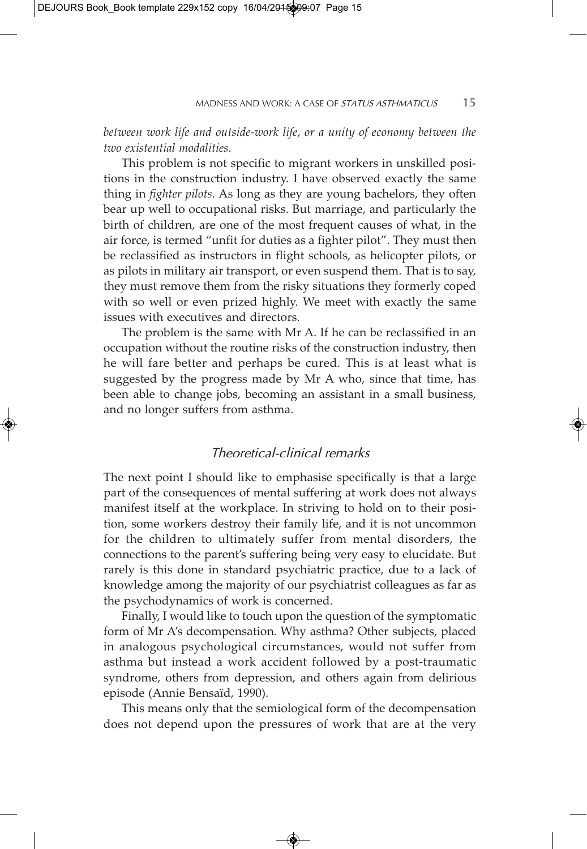*between work life and outside-work life*, *or a unity of economy between the two existential modalities*.

This problem is not specific to migrant workers in unskilled positions in the construction industry. I have observed exactly the same thing in *fighter pilots*. As long as they are young bachelors, they often bear up well to occupational risks. But marriage, and particularly the birth of children, are one of the most frequent causes of what, in the air force, is termed "unfit for duties as a fighter pilot". They must then be reclassified as instructors in flight schools, as helicopter pilots, or as pilots in military air transport, or even suspend them. That is to say, they must remove them from the risky situations they formerly coped with so well or even prized highly. We meet with exactly the same issues with executives and directors.

The problem is the same with Mr A. If he can be reclassified in an occupation without the routine risks of the construction industry, then he will fare better and perhaps be cured. This is at least what is suggested by the progress made by Mr A who, since that time, has been able to change jobs, becoming an assistant in a small business, and no longer suffers from asthma.

# *Theoretical-clinical remarks*

The next point I should like to emphasise specifically is that a large part of the consequences of mental suffering at work does not always manifest itself at the workplace. In striving to hold on to their position, some workers destroy their family life, and it is not uncommon for the children to ultimately suffer from mental disorders, the connections to the parent's suffering being very easy to elucidate. But rarely is this done in standard psychiatric practice, due to a lack of knowledge among the majority of our psychiatrist colleagues as far as the psychodynamics of work is concerned.

Finally, I would like to touch upon the question of the symptomatic form of Mr A's decompensation. Why asthma? Other subjects, placed in analogous psychological circumstances, would not suffer from asthma but instead a work accident followed by a post-traumatic syndrome, others from depression, and others again from delirious episode (Annie Bensaïd, 1990).

This means only that the semiological form of the decompensation does not depend upon the pressures of work that are at the very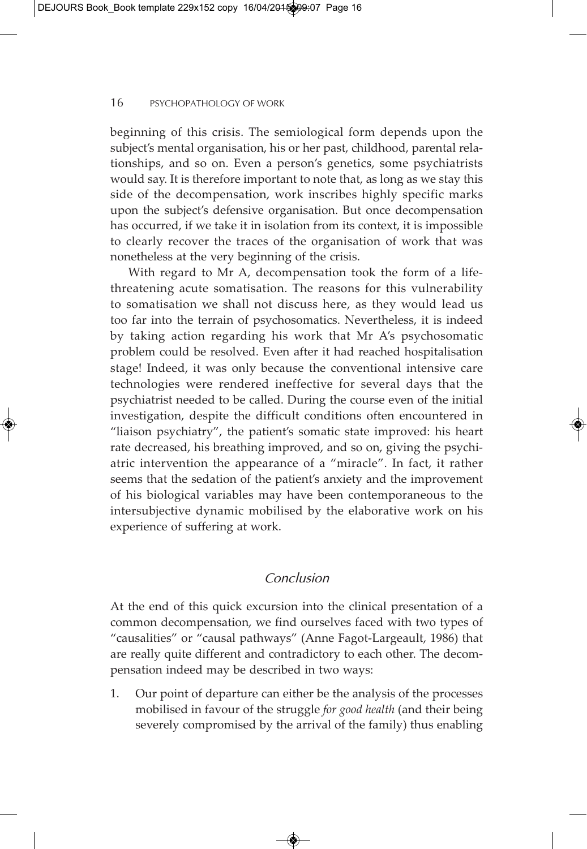beginning of this crisis. The semiological form depends upon the subject's mental organisation, his or her past, childhood, parental relationships, and so on. Even a person's genetics, some psychiatrists would say. It is therefore important to note that, as long as we stay this side of the decompensation, work inscribes highly specific marks upon the subject's defensive organisation. But once decompensation has occurred, if we take it in isolation from its context, it is impossible to clearly recover the traces of the organisation of work that was nonetheless at the very beginning of the crisis.

With regard to Mr A, decompensation took the form of a lifethreatening acute somatisation. The reasons for this vulnerability to somatisation we shall not discuss here, as they would lead us too far into the terrain of psychosomatics. Nevertheless, it is indeed by taking action regarding his work that Mr A's psychosomatic problem could be resolved. Even after it had reached hospitalisation stage! Indeed, it was only because the conventional intensive care technologies were rendered ineffective for several days that the psychiatrist needed to be called. During the course even of the initial investigation, despite the difficult conditions often encountered in "liaison psychiatry", the patient's somatic state improved: his heart rate decreased, his breathing improved, and so on, giving the psychiatric intervention the appearance of a "miracle". In fact, it rather seems that the sedation of the patient's anxiety and the improvement of his biological variables may have been contemporaneous to the intersubjective dynamic mobilised by the elaborative work on his experience of suffering at work.

# *Conclusion*

At the end of this quick excursion into the clinical presentation of a common decompensation, we find ourselves faced with two types of "causalities" or "causal pathways" (Anne Fagot-Largeault, 1986) that are really quite different and contradictory to each other. The decompensation indeed may be described in two ways:

1. Our point of departure can either be the analysis of the processes mobilised in favour of the struggle *for good health* (and their being severely compromised by the arrival of the family) thus enabling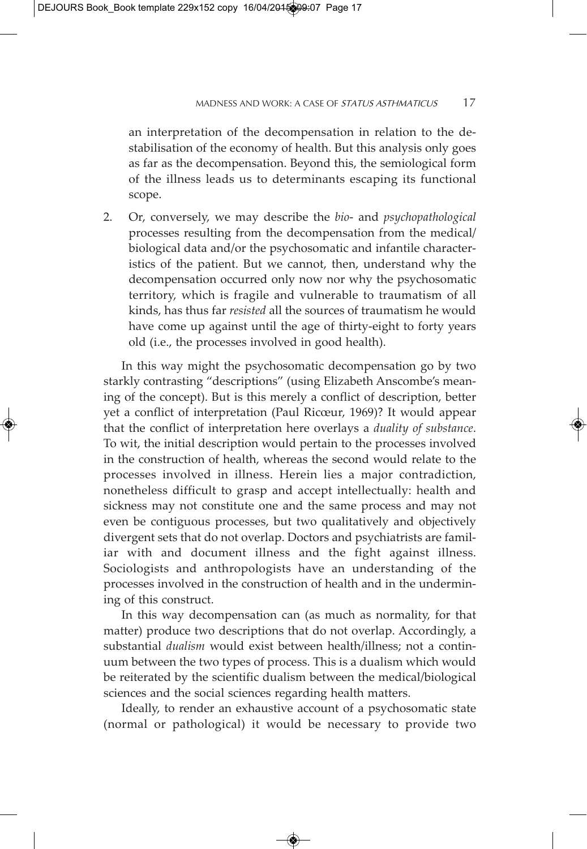an interpretation of the decompensation in relation to the destabilisation of the economy of health. But this analysis only goes as far as the decompensation. Beyond this, the semiological form of the illness leads us to determinants escaping its functional scope.

2. Or, conversely, we may describe the *bio*- and *psychopathological* processes resulting from the decompensation from the medical/ biological data and/or the psychosomatic and infantile characteristics of the patient. But we cannot, then, understand why the decompensation occurred only now nor why the psychosomatic territory, which is fragile and vulnerable to traumatism of all kinds, has thus far *resisted* all the sources of traumatism he would have come up against until the age of thirty-eight to forty years old (i.e., the processes involved in good health).

In this way might the psychosomatic decompensation go by two starkly contrasting "descriptions" (using Elizabeth Anscombe's meaning of the concept). But is this merely a conflict of description, better yet a conflict of interpretation (Paul Ricœur, 1969)? It would appear that the conflict of interpretation here overlays a *duality of substance*. To wit, the initial description would pertain to the processes involved in the construction of health, whereas the second would relate to the processes involved in illness. Herein lies a major contradiction, nonetheless difficult to grasp and accept intellectually: health and sickness may not constitute one and the same process and may not even be contiguous processes, but two qualitatively and objectively divergent sets that do not overlap. Doctors and psychiatrists are familiar with and document illness and the fight against illness. Sociologists and anthropologists have an understanding of the processes involved in the construction of health and in the undermining of this construct.

In this way decompensation can (as much as normality, for that matter) produce two descriptions that do not overlap. Accordingly, a substantial *dualism* would exist between health/illness; not a continuum between the two types of process. This is a dualism which would be reiterated by the scientific dualism between the medical/biological sciences and the social sciences regarding health matters.

Ideally, to render an exhaustive account of a psychosomatic state (normal or pathological) it would be necessary to provide two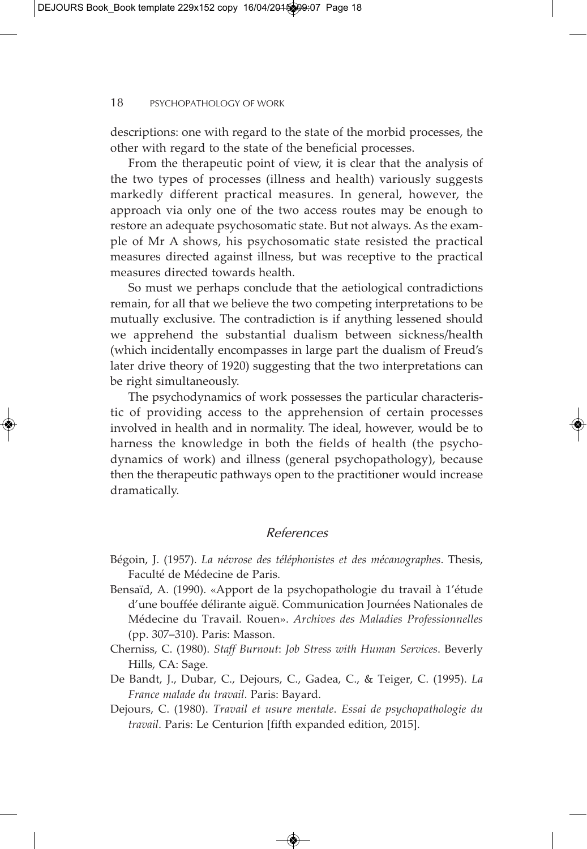descriptions: one with regard to the state of the morbid processes, the other with regard to the state of the beneficial processes.

From the therapeutic point of view, it is clear that the analysis of the two types of processes (illness and health) variously suggests markedly different practical measures. In general, however, the approach via only one of the two access routes may be enough to restore an adequate psychosomatic state. But not always. As the example of Mr A shows, his psychosomatic state resisted the practical measures directed against illness, but was receptive to the practical measures directed towards health.

So must we perhaps conclude that the aetiological contradictions remain, for all that we believe the two competing interpretations to be mutually exclusive. The contradiction is if anything lessened should we apprehend the substantial dualism between sickness/health (which incidentally encompasses in large part the dualism of Freud's later drive theory of 1920) suggesting that the two interpretations can be right simultaneously.

The psychodynamics of work possesses the particular characteristic of providing access to the apprehension of certain processes involved in health and in normality. The ideal, however, would be to harness the knowledge in both the fields of health (the psychodynamics of work) and illness (general psychopathology), because then the therapeutic pathways open to the practitioner would increase dramatically.

## *References*

- Bégoin, J. (1957). *La névrose des téléphonistes et des mécanographes*. Thesis, Faculté de Médecine de Paris.
- Bensaïd, A. (1990). «Apport de la psychopathologie du travail à 1'étude d'une bouffée délirante aiguë. Communication Journées Nationales de Médecine du Travail. Rouen». *Archives des Maladies Professionnelles* (pp. 307–310). Paris: Masson.
- Cherniss, C. (1980). *Staff Burnout*: *Job Stress with Human Services*. Beverly Hills, CA: Sage.
- De Bandt, J., Dubar, C., Dejours, C., Gadea, C., & Teiger, C. (1995). *La France malade du travail*. Paris: Bayard.
- Dejours, C. (1980). *Travail et usure mentale*. *Essai de psychopathologie du travail*. Paris: Le Centurion [fifth expanded edition, 2015].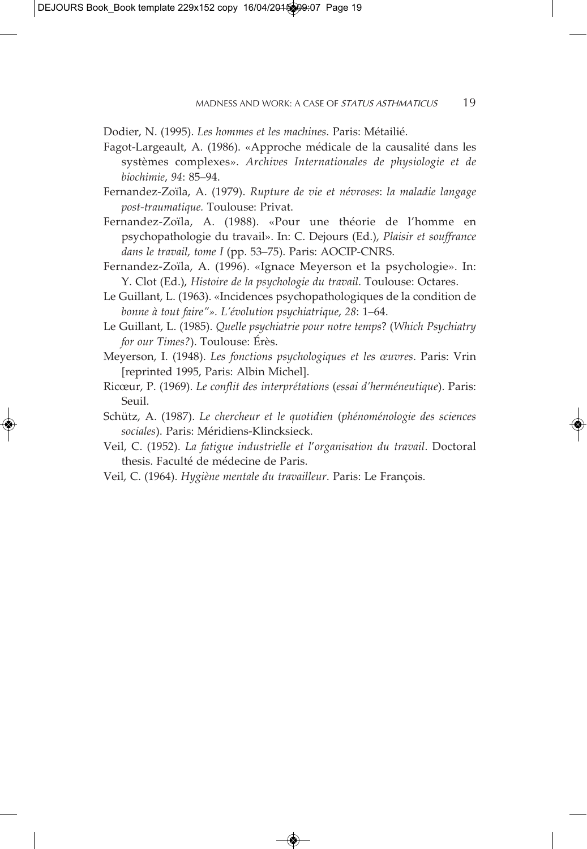Dodier, N. (1995). *Les hommes et les machines*. Paris: Métailié.

- Fagot-Largeault, A. (1986). «Approche médicale de la causalité dans les systèmes complexes». *Archives Internationales de physiologie et de biochimie*, *94*: 85–94.
- Fernandez-Zoïla, A. (1979). *Rupture de vie et névroses*: *la maladie langage post-traumatique.* Toulouse: Privat.
- Fernandez-Zoïla, A. (1988). «Pour une théorie de l'homme en psychopathologie du travail». In: C. Dejours (Ed.), *Plaisir et souffrance dans le travail, tome I* (pp. 53–75). Paris: AOCIP-CNRS.
- Fernandez-Zoïla, A. (1996). «Ignace Meyerson et la psychologie». In: Y. Clot (Ed.), *Histoire de la psychologie du travail*. Toulouse: Octares.
- Le Guillant, L. (1963). «Incidences psychopathologiques de la condition de *bonne à tout faire"». L'évolution psychiatrique*, *28*: 1–64.
- Le Guillant, L. (1985). *Quelle psychiatrie pour notre temps*? (*Which Psychiatry for our Times?*). Toulouse: Érès.
- Meyerson, I. (1948). *Les fonctions psychologiques et les œuvres*. Paris: Vrin [reprinted 1995, Paris: Albin Michel].
- Ricœur, P. (1969). *Le conflit des interprétations* (*essai d'herméneutique*). Paris: Seuil.
- Schütz, A. (1987). *Le chercheur et le quotidien* (*phénoménologie des sciences sociales*). Paris: Méridiens-Klincksieck.
- Veil, C. (1952). *La fatigue industrielle et l*'*organisation du travail*. Doctoral thesis. Faculté de médecine de Paris.
- Veil, C. (1964). *Hygiène mentale du travailleur*. Paris: Le François.